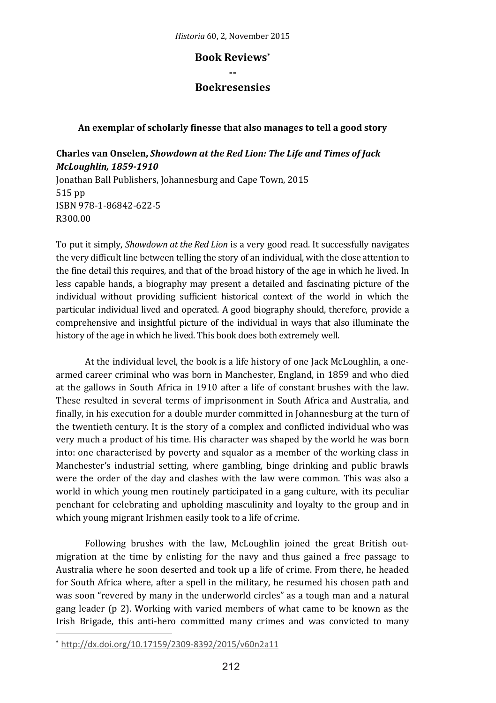**‐‐ Boekresensies**

# **An exemplar of scholarly finesse that also manages to tell a good story**

# **Charles van Onselen,** *Showdown at the Red Lion: The Life and Times of Jack McLoughlin, 1859‐1910* Jonathan Ball Publishers, Johannesburg and Cape Town, 2015 515 pp ISBN 978‐1‐86842‐622‐5 R300.00

To put it simply, *Showdown at the Red Lion* is a very good read. It successfully navigates the very difficult line between telling the story of an individual, with the close attention to the fine detail this requires, and that of the broad history of the age in which he lived. In less capable hands, a biography may present a detailed and fascinating picture of the individual without providing sufficient historical context of the world in which the particular individual lived and operated. A good biography should, therefore, provide a comprehensive and insightful picture of the individual in ways that also illuminate the history of the age in which he lived. This book does both extremely well.

At the individual level, the book is a life history of one Jack McLoughlin, a onearmed career criminal who was born in Manchester, England, in 1859 and who died at the gallows in South Africa in 1910 after a life of constant brushes with the law. These resulted in several terms of imprisonment in South Africa and Australia, and finally, in his execution for a double murder committed in Johannesburg at the turn of the twentieth century. It is the story of a complex and conflicted individual who was very much a product of his time. His character was shaped by the world he was born into: one characterised by poverty and squalor as a member of the working class in Manchester's industrial setting, where gambling, binge drinking and public brawls were the order of the day and clashes with the law were common. This was also a world in which young men routinely participated in a gang culture, with its peculiar penchant for celebrating and upholding masculinity and loyalty to the group and in which young migrant Irishmen easily took to a life of crime.

Following brushes with the law, McLoughlin joined the great British outmigration at the time by enlisting for the navy and thus gained a free passage to Australia where he soon deserted and took up a life of crime. From there, he headed for South Africa where, after a spell in the military, he resumed his chosen path and was soon "revered by many in the underworld circles" as a tough man and a natural gang leader (p 2). Working with varied members of what came to be known as the Irish Brigade, this anti-hero committed many crimes and was convicted to many

<sup>\*</sup> http://dx.doi.org/10.17159/2309‐8392/2015/v60n2a11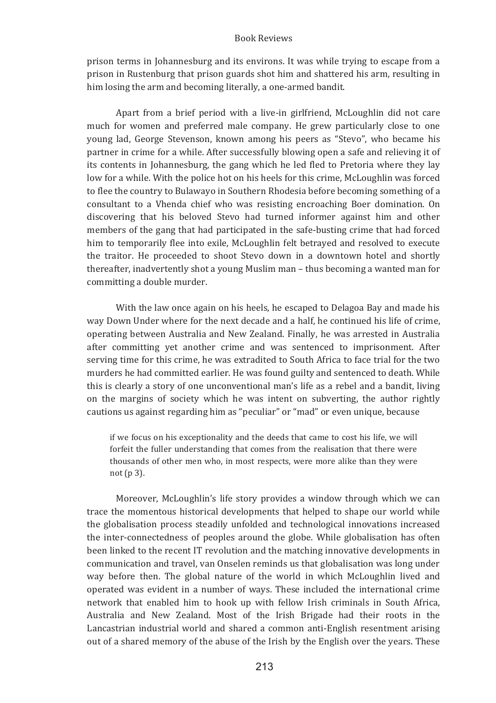prison terms in Johannesburg and its environs. It was while trying to escape from a prison in Rustenburg that prison guards shot him and shattered his arm, resulting in him losing the arm and becoming literally, a one-armed bandit.

Apart from a brief period with a live-in girlfriend. McLoughlin did not care much for women and preferred male company. He grew particularly close to one young lad, George Stevenson, known among his peers as "Stevo", who became his partner in crime for a while. After successfully blowing open a safe and relieving it of its contents in Johannesburg, the gang which he led fled to Pretoria where they lay low for a while. With the police hot on his heels for this crime, McLoughlin was forced to flee the country to Bulawayo in Southern Rhodesia before becoming something of a consultant to a Vhenda chief who was resisting encroaching Boer domination. On discovering that his beloved Stevo had turned informer against him and other members of the gang that had participated in the safe-busting crime that had forced him to temporarily flee into exile, McLoughlin felt betrayed and resolved to execute the traitor. He proceeded to shoot Stevo down in a downtown hotel and shortly thereafter, inadvertently shot a young Muslim man – thus becoming a wanted man for committing a double murder.

With the law once again on his heels, he escaped to Delagoa Bay and made his way Down Under where for the next decade and a half, he continued his life of crime, operating between Australia and New Zealand. Finally, he was arrested in Australia after committing yet another crime and was sentenced to imprisonment. After serving time for this crime, he was extradited to South Africa to face trial for the two murders he had committed earlier. He was found guilty and sentenced to death. While this is clearly a story of one unconventional man's life as a rebel and a bandit, living on the margins of society which he was intent on subverting, the author rightly cautions us against regarding him as "peculiar" or "mad" or even unique, because

if we focus on his exceptionality and the deeds that came to cost his life, we will forfeit the fuller understanding that comes from the realisation that there were thousands of other men who, in most respects, were more alike than they were not  $(p 3)$ .

Moreover, McLoughlin's life story provides a window through which we can trace the momentous historical developments that helped to shape our world while the globalisation process steadily unfolded and technological innovations increased the inter-connectedness of peoples around the globe. While globalisation has often been linked to the recent IT revolution and the matching innovative developments in communication and travel, van Onselen reminds us that globalisation was long under way before then. The global nature of the world in which McLoughlin lived and operated was evident in a number of ways. These included the international crime network that enabled him to hook up with fellow Irish criminals in South Africa, Australia and New Zealand. Most of the Irish Brigade had their roots in the Lancastrian industrial world and shared a common anti-English resentment arising out of a shared memory of the abuse of the Irish by the English over the years. These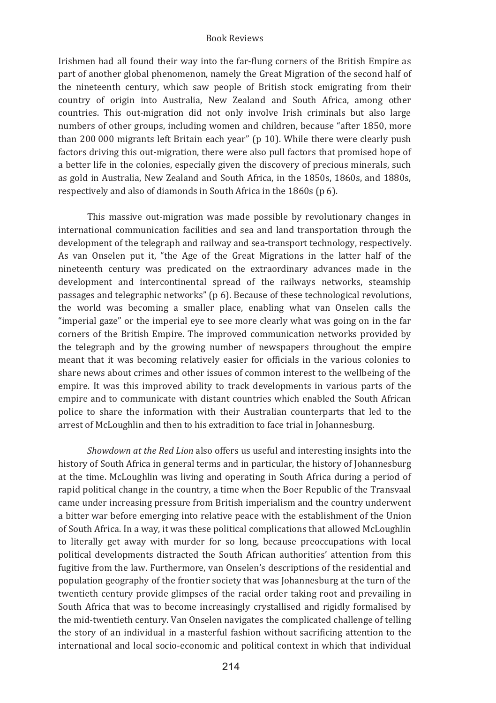Irishmen had all found their way into the far-flung corners of the British Empire as part of another global phenomenon, namely the Great Migration of the second half of the nineteenth century, which saw people of British stock emigrating from their country of origin into Australia. New Zealand and South Africa, among other countries. This out-migration did not only involve Irish criminals but also large numbers of other groups, including women and children, because "after 1850, more than 200 000 migrants left Britain each year" (p 10). While there were clearly push factors driving this out-migration, there were also pull factors that promised hope of a better life in the colonies, especially given the discovery of precious minerals, such as gold in Australia, New Zealand and South Africa, in the 1850s, 1860s, and 1880s, respectively and also of diamonds in South Africa in the 1860s (p 6).

This massive out-migration was made possible by revolutionary changes in international communication facilities and sea and land transportation through the development of the telegraph and railway and sea-transport technology, respectively. As van Onselen put it, "the Age of the Great Migrations in the latter half of the nineteenth century was predicated on the extraordinary advances made in the development and intercontinental spread of the railways networks, steamship passages and telegraphic networks" (p 6). Because of these technological revolutions, the world was becoming a smaller place, enabling what van Onselen calls the "imperial gaze" or the imperial eve to see more clearly what was going on in the far corners of the British Empire. The improved communication networks provided by the telegraph and by the growing number of newspapers throughout the empire meant that it was becoming relatively easier for officials in the various colonies to share news about crimes and other issues of common interest to the wellbeing of the empire. It was this improved ability to track developments in various parts of the empire and to communicate with distant countries which enabled the South African police to share the information with their Australian counterparts that led to the arrest of McLoughlin and then to his extradition to face trial in Johannesburg.

Showdown at the Red Lion also offers us useful and interesting insights into the history of South Africa in general terms and in particular, the history of Johannesburg at the time. McLoughlin was living and operating in South Africa during a period of rapid political change in the country, a time when the Boer Republic of the Transvaal came under increasing pressure from British imperialism and the country underwent a bitter war before emerging into relative peace with the establishment of the Union of South Africa. In a way, it was these political complications that allowed McLoughlin to literally get away with murder for so long, because preoccupations with local political developments distracted the South African authorities' attention from this fugitive from the law. Furthermore, van Onselen's descriptions of the residential and population geography of the frontier society that was Johannesburg at the turn of the twentieth century provide glimpses of the racial order taking root and prevailing in South Africa that was to become increasingly crystallised and rigidly formalised by the mid-twentieth century. Van Onselen navigates the complicated challenge of telling the story of an individual in a masterful fashion without sacrificing attention to the international and local socio-economic and political context in which that individual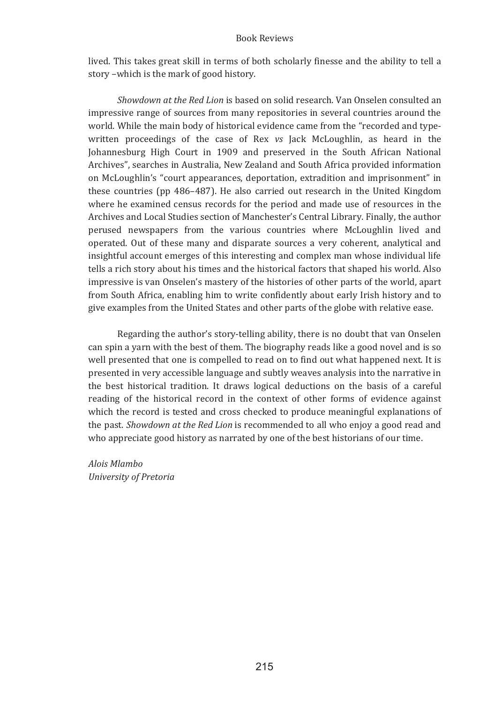lived. This takes great skill in terms of both scholarly finesse and the ability to tell a story -which is the mark of good history.

Showdown at the Red Lion is based on solid research. Van Onselen consulted an impressive range of sources from many repositories in several countries around the world. While the main body of historical evidence came from the "recorded and typewritten proceedings of the case of Rex vs Jack McLoughlin, as heard in the Johannesburg High Court in 1909 and preserved in the South African National Archives", searches in Australia, New Zealand and South Africa provided information on McLoughlin's "court appearances, deportation, extradition and imprisonment" in these countries (pp 486–487). He also carried out research in the United Kingdom where he examined census records for the period and made use of resources in the Archives and Local Studies section of Manchester's Central Library. Finally, the author perused newspapers from the various countries where McLoughlin lived and operated. Out of these many and disparate sources a very coherent, analytical and insightful account emerges of this interesting and complex man whose individual life tells a rich story about his times and the historical factors that shaped his world. Also impressive is van Onselen's mastery of the histories of other parts of the world, apart from South Africa, enabling him to write confidently about early Irish history and to give examples from the United States and other parts of the globe with relative ease.

Regarding the author's story-telling ability, there is no doubt that van Onselen can spin a varn with the best of them. The biography reads like a good novel and is so well presented that one is compelled to read on to find out what happened next. It is presented in very accessible language and subtly weaves analysis into the narrative in the best historical tradition. It draws logical deductions on the basis of a careful reading of the historical record in the context of other forms of evidence against which the record is tested and cross checked to produce meaningful explanations of the past. Showdown at the Red Lion is recommended to all who enjoy a good read and who appreciate good history as narrated by one of the best historians of our time.

Alois Mlambo University of Pretoria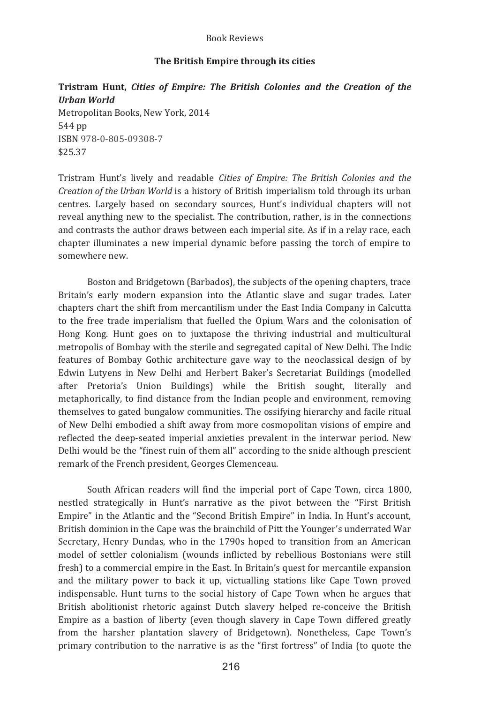# The British Empire through its cities

# Tristram Hunt, Cities of Empire: The British Colonies and the Creation of the **Urban World** Metropolitan Books, New York, 2014 544 pp ISBN 978-0-805-09308-7

\$25.37

Tristram Hunt's lively and readable Cities of Empire: The British Colonies and the Creation of the Urban World is a history of British imperialism told through its urban centres. Largely based on secondary sources, Hunt's individual chapters will not reveal anything new to the specialist. The contribution, rather, is in the connections and contrasts the author draws between each imperial site. As if in a relay race, each chapter illuminates a new imperial dynamic before passing the torch of empire to somewhere new.

Boston and Bridgetown (Barbados), the subjects of the opening chapters, trace Britain's early modern expansion into the Atlantic slave and sugar trades. Later chapters chart the shift from mercantilism under the East India Company in Calcutta to the free trade imperialism that fuelled the Opium Wars and the colonisation of Hong Kong. Hunt goes on to juxtapose the thriving industrial and multicultural metropolis of Bombay with the sterile and segregated capital of New Delhi. The Indic features of Bombay Gothic architecture gave way to the neoclassical design of by Edwin Lutyens in New Delhi and Herbert Baker's Secretariat Buildings (modelled after Pretoria's Union Buildings) while the British sought, literally and metaphorically, to find distance from the Indian people and environment, removing themselves to gated bungalow communities. The ossifying hierarchy and facile ritual of New Delhi embodied a shift away from more cosmopolitan visions of empire and reflected the deep-seated imperial anxieties prevalent in the interwar period. New Delhi would be the "finest ruin of them all" according to the snide although prescient remark of the French president. Georges Clemenceau.

South African readers will find the imperial port of Cape Town, circa 1800, nestled strategically in Hunt's narrative as the pivot between the "First British Empire" in the Atlantic and the "Second British Empire" in India. In Hunt's account, British dominion in the Cape was the brainchild of Pitt the Younger's underrated War Secretary, Henry Dundas, who in the 1790s hoped to transition from an American model of settler colonialism (wounds inflicted by rebellious Bostonians were still fresh) to a commercial empire in the East. In Britain's quest for mercantile expansion and the military power to back it up, victualling stations like Cape Town proved indispensable. Hunt turns to the social history of Cape Town when he argues that British abolitionist rhetoric against Dutch slavery helped re-conceive the British Empire as a bastion of liberty (even though slavery in Cape Town differed greatly from the harsher plantation slavery of Bridgetown). Nonetheless, Cape Town's primary contribution to the narrative is as the "first fortress" of India (to quote the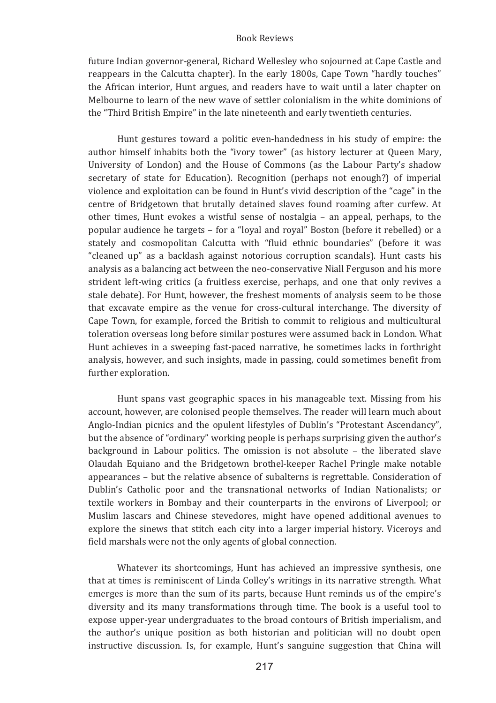future Indian governor-general, Richard Wellesley who sojourned at Cape Castle and reappears in the Calcutta chapter). In the early 1800s, Cape Town "hardly touches" the African interior, Hunt argues, and readers have to wait until a later chapter on Melbourne to learn of the new wave of settler colonialism in the white dominions of the "Third British Empire" in the late nineteenth and early twentieth centuries.

Hunt gestures toward a politic even-handedness in his study of empire: the author himself inhabits both the "ivory tower" (as history lecturer at Oueen Mary. University of London) and the House of Commons (as the Labour Party's shadow secretary of state for Education). Recognition (perhaps not enough?) of imperial violence and exploitation can be found in Hunt's vivid description of the "cage" in the centre of Bridgetown that brutally detained slaves found roaming after curfew. At other times, Hunt evokes a wistful sense of nostalgia - an appeal, perhaps, to the popular audience he targets - for a "loyal and royal" Boston (before it rebelled) or a stately and cosmopolitan Calcutta with "fluid ethnic boundaries" (before it was "cleaned up" as a backlash against notorious corruption scandals). Hunt casts his analysis as a balancing act between the neo-conservative Niall Ferguson and his more strident left-wing critics (a fruitless exercise, perhaps, and one that only revives a stale debate). For Hunt, however, the freshest moments of analysis seem to be those that excavate empire as the venue for cross-cultural interchange. The diversity of Cape Town, for example, forced the British to commit to religious and multicultural toleration overseas long before similar postures were assumed back in London. What Hunt achieves in a sweeping fast-paced narrative, he sometimes lacks in forthright analysis, however, and such insights, made in passing, could sometimes benefit from further exploration.

Hunt spans vast geographic spaces in his manageable text. Missing from his account, however, are colonised people themselves. The reader will learn much about Anglo-Indian picnics and the opulent lifestyles of Dublin's "Protestant Ascendancy", but the absence of "ordinary" working people is perhaps surprising given the author's background in Labour politics. The omission is not absolute - the liberated slave Olaudah Equiano and the Bridgetown brothel-keeper Rachel Pringle make notable appearances - but the relative absence of subalterns is regrettable. Consideration of Dublin's Catholic poor and the transnational networks of Indian Nationalists; or textile workers in Bombay and their counterparts in the environs of Liverpool; or Muslim lascars and Chinese stevedores, might have opened additional avenues to explore the sinews that stitch each city into a larger imperial history. Viceroys and field marshals were not the only agents of global connection.

Whatever its shortcomings, Hunt has achieved an impressive synthesis, one that at times is reminiscent of Linda Colley's writings in its narrative strength. What emerges is more than the sum of its parts, because Hunt reminds us of the empire's diversity and its many transformations through time. The book is a useful tool to expose upper-year undergraduates to the broad contours of British imperialism, and the author's unique position as both historian and politician will no doubt open instructive discussion. Is, for example, Hunt's sanguine suggestion that China will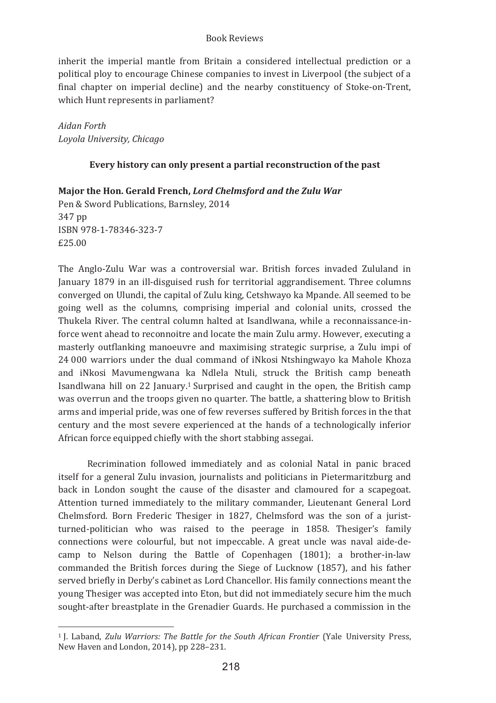inherit the imperial mantle from Britain a considered intellectual prediction or a political ploy to encourage Chinese companies to invest in Liverpool (the subject of a final chapter on imperial decline) and the nearby constituency of Stoke-on-Trent, which Hunt represents in parliament?

Aidan Forth Loyola University, Chicago

# Every history can only present a partial reconstruction of the past

Maior the Hon. Gerald French. Lord Chelmsford and the Zulu War

Pen & Sword Publications, Barnsley, 2014 347 pp ISBN 978-1-78346-323-7 £25.00

The Anglo-Zulu War was a controversial war. British forces invaded Zululand in January 1879 in an ill-disguised rush for territorial aggrandisement. Three columns converged on Ulundi, the capital of Zulu king, Cetshwayo ka Mpande. All seemed to be going well as the columns, comprising imperial and colonial units, crossed the Thukela River. The central column halted at Isandlwana, while a reconnaissance-inforce went ahead to reconnoitre and locate the main Zulu army. However, executing a masterly outflanking manoeuvre and maximising strategic surprise, a Zulu impi of 24 000 warriors under the dual command of iNkosi Ntshingwayo ka Mahole Khoza and iNkosi Mavumengwana ka Ndlela Ntuli, struck the British camp beneath Isandlwana hill on 22 January.<sup>1</sup> Surprised and caught in the open, the British camp was overrun and the troops given no quarter. The battle, a shattering blow to British arms and imperial pride, was one of few reverses suffered by British forces in the that century and the most severe experienced at the hands of a technologically inferior African force equipped chiefly with the short stabbing assegai.

Recrimination followed immediately and as colonial Natal in panic braced itself for a general Zulu invasion, journalists and politicians in Pietermaritzburg and back in London sought the cause of the disaster and clamoured for a scapegoat. Attention turned immediately to the military commander, Lieutenant General Lord Chelmsford. Born Frederic Thesiger in 1827, Chelmsford was the son of a juristturned-politician who was raised to the peerage in 1858. Thesiger's family connections were colourful, but not impeccable. A great uncle was naval aide-decamp to Nelson during the Battle of Copenhagen (1801); a brother-in-law commanded the British forces during the Siege of Lucknow (1857), and his father served briefly in Derby's cabinet as Lord Chancellor. His family connections meant the young Thesiger was accepted into Eton, but did not immediately secure him the much sought-after breastplate in the Grenadier Guards. He purchased a commission in the

<sup>&</sup>lt;sup>1</sup> I. Laband. Zulu Warriors: The Battle for the South African Frontier (Yale University Press. New Haven and London, 2014), pp 228-231.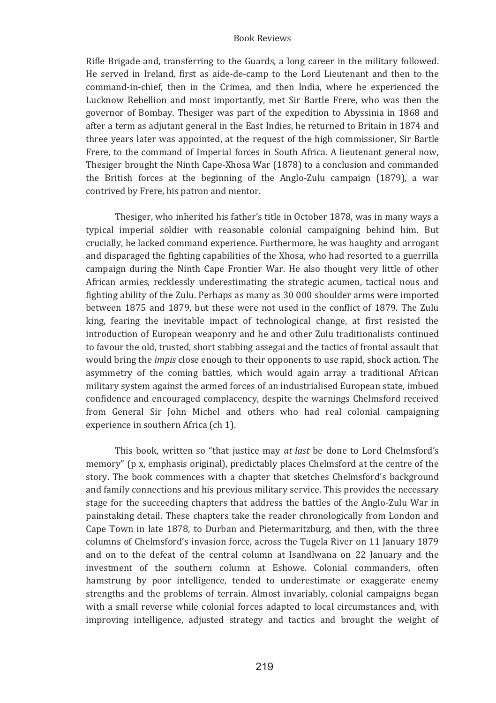Rifle Brigade and, transferring to the Guards, a long career in the military followed. He served in Ireland, first as aide-de-camp to the Lord Lieutenant and then to the command-in-chief, then in the Crimea, and then India, where he experienced the Lucknow Rebellion and most importantly, met Sir Bartle Frere, who was then the governor of Bombay. Thesiger was part of the expedition to Abyssinia in 1868 and after a term as adjutant general in the East Indies, he returned to Britain in 1874 and three years later was appointed, at the request of the high commissioner, Sir Bartle Frere, to the command of Imperial forces in South Africa. A lieutenant general now. Thesiger brought the Ninth Cape-Xhosa War (1878) to a conclusion and commanded the British forces at the beginning of the Anglo-Zulu campaign (1879), a war contrived by Frere, his patron and mentor.

Thesiger, who inherited his father's title in October 1878, was in many ways a typical imperial soldier with reasonable colonial campaigning behind him. But crucially, he lacked command experience. Furthermore, he was haughty and arrogant and disparaged the fighting capabilities of the Xhosa, who had resorted to a guerrilla campaign during the Ninth Cape Frontier War. He also thought very little of other African armies, recklessly underestimating the strategic acumen, tactical nous and fighting ability of the Zulu. Perhaps as many as 30 000 shoulder arms were imported between 1875 and 1879, but these were not used in the conflict of 1879. The Zulu king, fearing the inevitable impact of technological change, at first resisted the introduction of European weaponry and he and other Zulu traditionalists continued to favour the old, trusted, short stabbing assegai and the tactics of frontal assault that would bring the *impis* close enough to their opponents to use rapid, shock action. The asymmetry of the coming battles, which would again array a traditional African military system against the armed forces of an industrialised European state, imbued confidence and encouraged complacency, despite the warnings Chelmsford received from General Sir John Michel and others who had real colonial campaigning experience in southern Africa (ch 1).

This book, written so "that justice may at last be done to Lord Chelmsford's memory" (p x, emphasis original), predictably places Chelmsford at the centre of the story. The book commences with a chapter that sketches Chelmsford's background and family connections and his previous military service. This provides the necessary stage for the succeeding chapters that address the battles of the Anglo-Zulu War in painstaking detail. These chapters take the reader chronologically from London and Cape Town in late 1878, to Durban and Pietermaritzburg, and then, with the three columns of Chelmsford's invasion force, across the Tugela River on 11 January 1879 and on to the defeat of the central column at Isandlwana on 22 January and the investment of the southern column at Eshowe. Colonial commanders, often hamstrung by poor intelligence, tended to underestimate or exaggerate enemy strengths and the problems of terrain. Almost invariably, colonial campaigns began with a small reverse while colonial forces adapted to local circumstances and, with improving intelligence, adjusted strategy and tactics and brought the weight of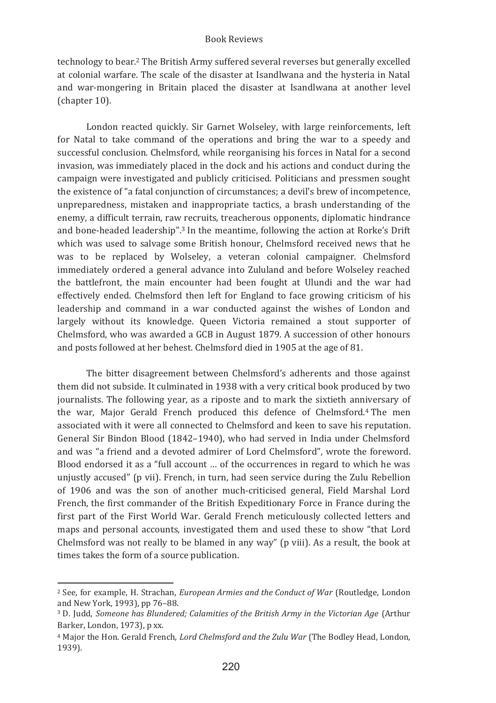technology to bear.<sup>2</sup> The British Army suffered several reverses but generally excelled at colonial warfare. The scale of the disaster at Isandlwana and the hysteria in Natal and war-mongering in Britain placed the disaster at Isandlwana at another level (chapter 10).

London reacted quickly. Sir Garnet Wolseley, with large reinforcements, left for Natal to take command of the operations and bring the war to a speedy and successful conclusion. Chelmsford, while reorganising his forces in Natal for a second invasion, was immediately placed in the dock and his actions and conduct during the campaign were investigated and publicly criticised. Politicians and pressmen sought the existence of "a fatal conjunction of circumstances: a devil's brew of incompetence. unpreparedness, mistaken and inappropriate tactics, a brash understanding of the enemy, a difficult terrain, raw recruits, treacherous opponents, diplomatic hindrance and bone-headed leadership".<sup>3</sup> In the meantime, following the action at Rorke's Drift which was used to salvage some British honour. Chelmsford received news that he was to be replaced by Wolseley, a veteran colonial campaigner. Chelmsford immediately ordered a general advance into Zululand and before Wolseley reached the battlefront, the main encounter had been fought at Ulundi and the war had effectively ended. Chelmsford then left for England to face growing criticism of his leadership and command in a war conducted against the wishes of London and largely without its knowledge. Queen Victoria remained a stout supporter of Chelmsford, who was awarded a GCB in August 1879. A succession of other honours and posts followed at her behest. Chelmsford died in 1905 at the age of 81.

The bitter disagreement between Chelmsford's adherents and those against them did not subside. It culminated in 1938 with a very critical book produced by two journalists. The following year, as a riposte and to mark the sixtieth anniversary of the war. Major Gerald French produced this defence of Chelmsford.<sup>4</sup> The men associated with it were all connected to Chelmsford and keen to save his reputation. General Sir Bindon Blood (1842-1940), who had served in India under Chelmsford and was "a friend and a devoted admirer of Lord Chelmsford", wrote the foreword. Blood endorsed it as a "full account ... of the occurrences in regard to which he was unjustly accused" (p vii). French, in turn, had seen service during the Zulu Rebellion of 1906 and was the son of another much-criticised general, Field Marshal Lord French, the first commander of the British Expeditionary Force in France during the first part of the First World War. Gerald French meticulously collected letters and maps and personal accounts, investigated them and used these to show "that Lord Chelmsford was not really to be blamed in any way" (p viii). As a result, the book at times takes the form of a source publication.

<sup>&</sup>lt;sup>2</sup> See. for example, H. Strachan, European Armies and the Conduct of War (Routledge, London and New York. 1993). pp 76-88.

<sup>&</sup>lt;sup>3</sup> D. Judd, Someone has Blundered; Calamities of the British Army in the Victorian Age (Arthur Barker, London, 1973), p xx.

<sup>&</sup>lt;sup>4</sup> Maior the Hon, Gerald French, *Lord Chelmsford and the Zulu War* (The Bodley Head, London, 1939).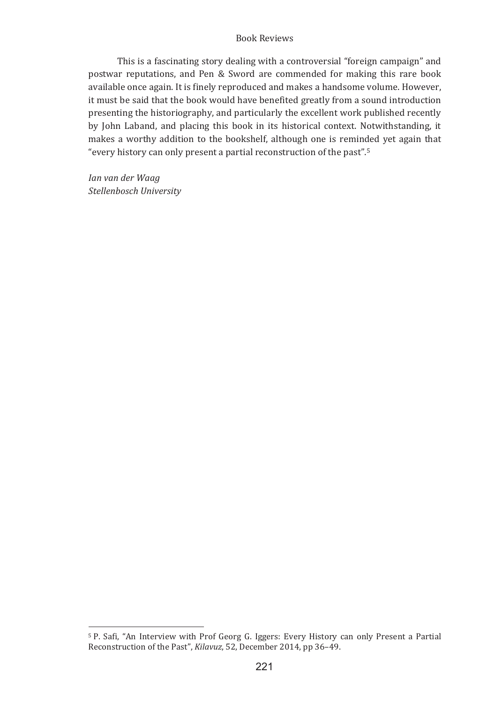This is a fascinating story dealing with a controversial "foreign campaign" and postwar reputations, and Pen & Sword are commended for making this rare book available once again. It is finely reproduced and makes a handsome volume. However, it must be said that the book would have benefited greatly from a sound introduction presenting the historiography, and particularly the excellent work published recently by John Laband, and placing this book in its historical context. Notwithstanding, it makes a worthy addition to the bookshelf, although one is reminded yet again that "every history can only present a partial reconstruction of the past".<sup>5</sup>

Ian van der Waag Stellenbosch University

<sup>&</sup>lt;sup>5</sup> P. Safi. "An Interview with Prof Georg G. Iggers: Every History can only Present a Partial Reconstruction of the Past", Kilavuz, 52, December 2014, pp 36-49.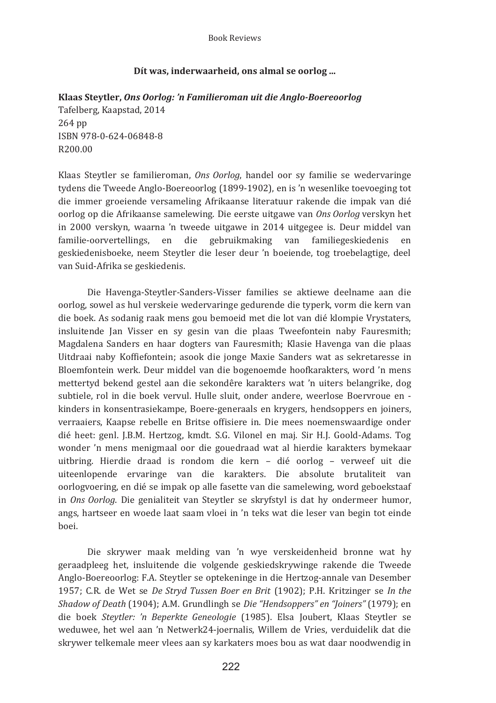# Dít was, inderwaarheid, ons almal se oorlog ...

**Klaas�Steytler,�***Ons�Oorlog:�'n�Familieroman�uit�die�Anglo�Boereoorlog�* Tafelberg, Kaapstad, 2014 264 pp ISBN 978-0-624-06848-8 R200.00

Klaas Steytler se familieroman, Ons Oorlog, handel oor sy familie se wedervaringe tydens die Tweede Anglo-Boereoorlog (1899-1902), en is 'n wesenlike toevoeging tot die immer groeiende versameling Afrikaanse literatuur rakende die impak van dié oorlog op die Afrikaanse samelewing. Die eerste uitgawe van Ons Oorlog verskyn het in 2000 verskyn, waarna 'n tweede uitgawe in 2014 uitgegee is. Deur middel van familie-oorvertellings, en die gebruikmaking van familiegeskiedenis en geskiedenisboeke, neem Steytler die leser deur 'n boeiende, tog troebelagtige, deel van Suid-Afrika se geskiedenis.

Die Havenga-Steytler-Sanders-Visser families se aktiewe deelname aan die oorlog, sowel as hul verskeie wedervaringe gedurende die typerk, vorm die kern van die boek. As sodanig raak mens gou bemoeid met die lot van dié klompie Vrystaters. insluitende Jan Visser en sy gesin van die plaas Tweefontein naby Fauresmith; Magdalena Sanders en haar dogters van Fauresmith; Klasie Havenga van die plaas Uitdraai naby Koffiefontein; asook die jonge Maxie Sanders wat as sekretaresse in Bloemfontein werk. Deur middel van die bogenoemde hoofkarakters, word 'n mens mettertyd bekend gestel aan die sekondêre karakters wat 'n uiters belangrike, dog subtiele, rol in die boek vervul. Hulle sluit, onder andere, weerlose Boervroue en kinders in konsentrasiekampe. Boere-generaals en krygers, hendsoppers en joiners. verraaiers. Kaapse rebelle en Britse offisiere in. Die mees noemenswaardige onder dié heet: genl. J.B.M. Hertzog. kmdt. S.G. Vilonel en mai. Sir H.J. Goold-Adams. Tog wonder 'n mens menigmaal oor die gouedraad wat al hierdie karakters bymekaar uitbring. Hierdie draad is rondom die kern - dié oorlog - verweef uit die uiteenlopende ervaringe van die karakters. Die absolute brutaliteit van oorlogyoering, en dié se impak op alle fasette van die samelewing, word geboekstaaf in Ons Oorlog. Die genialiteit van Steytler se skryfstyl is dat hy ondermeer humor, angs, hartseer en woede laat saam vloei in 'n teks wat die leser van begin tot einde hoei.

Die skrywer maak melding van 'n wye verskeidenheid bronne wat hy geraadpleeg het, insluitende die volgende geskiedskrywinge rakende die Tweede Anglo-Boereoorlog: F.A. Steytler se optekeninge in die Hertzog-annale van Desember 1957; C.R. de Wet se De Stryd Tussen Boer en Brit (1902); P.H. Kritzinger se In the *Shadow of Death* (1904); A.M. Grundlingh se Die "Hendsoppers" en "Joiners" (1979); en die boek Steytler: 'n Beperkte Geneologie (1985). Elsa Joubert, Klaas Steytler se weduwee, het wel aan 'n Netwerk24-joernalis. Willem de Vries, verduidelik dat die skrywer telkemale meer ylees aan sy karkaters moes bou as wat daar noodwendig in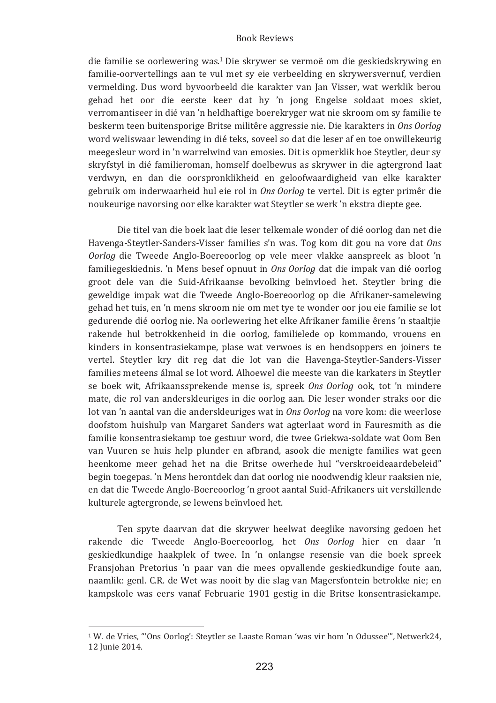die familie se oorlewering was.<sup>1</sup> Die skrywer se vermoë om die geskiedskrywing en familie-oorvertellings aan te vul met sy eie verbeelding en skrywersvernuf, verdien vermelding. Dus word byvoorbeeld die karakter van Jan Visser, wat werklik berou gehad het oor die eerste keer dat hy 'n jong Engelse soldaat moes skiet, verromantiseer in dié van 'n heldhaftige boerekryger wat nie skroom om sy familie te beskerm teen buitensporige Britse militêre aggressie nie. Die karakters in Ons Oorlog word weliswaar lewending in dié teks, soveel so dat die leser af en toe onwillekeurig meegesleur word in 'n warrelwind van emosies. Dit is opmerklik hoe Steytler, deur sy skryfstyl in dié familieroman, homself doelbewus as skrywer in die agtergrond laat verdwyn, en dan die oorspronklikheid en geloofwaardigheid van elke karakter gebruik om inderwaarheid hul eie rol in *Ons Oorlog* te vertel. Dit is egter primêr die noukeurige navorsing oor elke karakter wat Steytler se werk 'n ekstra diepte gee.

Die titel van die boek laat die leser telkemale wonder of dié oorlog dan net die Havenga-Steytler-Sanders-Visser families s'n was. Tog kom dit gou na vore dat Ons Oorlog die Tweede Anglo-Boereoorlog op vele meer vlakke aanspreek as bloot 'n familiegeskiednis, 'n Mens besef opnuut in *Ons Oorlog* dat die impak van dié oorlog groot dele van die Suid-Afrikaanse bevolking beïnvloed het. Steytler bring die geweldige impak wat die Tweede Anglo-Boereoorlog op die Afrikaner-samelewing gehad het tuis, en 'n mens skroom nie om met tve te wonder oor jou eie familie se lot gedurende dié oorlog nie. Na oorlewering het elke Afrikaner familie êrens 'n staaltjie rakende hul betrokkenheid in die oorlog, familielede op kommando, vrouens en kinders in konsentrasiekampe, plase wat verwoes is en hendsoppers en joiners te vertel. Steytler kry dit reg dat die lot van die Havenga-Steytler-Sanders-Visser families meteens álmal se lot word. Alhoewel die meeste van die karkaters in Steytler se boek wit, Afrikaanssprekende mense is, spreek Ons Oorlog ook, tot 'n mindere mate, die rol van anderskleuriges in die oorlog aan. Die leser wonder straks oor die lot van 'n aantal van die anderskleuriges wat in *Ons Oorlog* na vore kom: die weerlose doofstom huishulp van Margaret Sanders wat agterlaat word in Fauresmith as die familie konsentrasiekamp toe gestuur word, die twee Griekwa-soldate wat Oom Ben van Vuuren se huis help plunder en afbrand, asook die menigte families wat geen heenkome meer gehad het na die Britse owerhede hul "verskroeideaardebeleid" begin toegepas, 'n Mens herontdek dan dat oorlog nie noodwendig kleur raaksien nie. en dat die Tweede Anglo-Boereoorlog 'n groot aantal Suid-Afrikaners uit verskillende kulturele agtergronde, se lewens beïnyloed het.

Ten spyte daarvan dat die skrywer heelwat deeglike navorsing gedoen het rakende die Tweede Anglo-Boereoorlog, het Ons Oorlog hier en daar 'n geskiedkundige haakplek of twee. In 'n onlangse resensie van die boek spreek Fransiohan Pretorius 'n paar van die mees opvallende geskiedkundige foute aan. naamlik: genl. C.R. de Wet was nooit by die slag van Magersfontein betrokke nie; en kampskole was eers vanaf Februarie 1901 gestig in die Britse konsentrasiekampe.

<u> 1989 - Johann Barnett, fransk politiker (</u>

<sup>&</sup>lt;sup>1</sup> W. de Vries, "'Ons Oorlog': Steytler se Laaste Roman 'was vir hom 'n Odussee"', Netwerk24, 12 Junie 2014.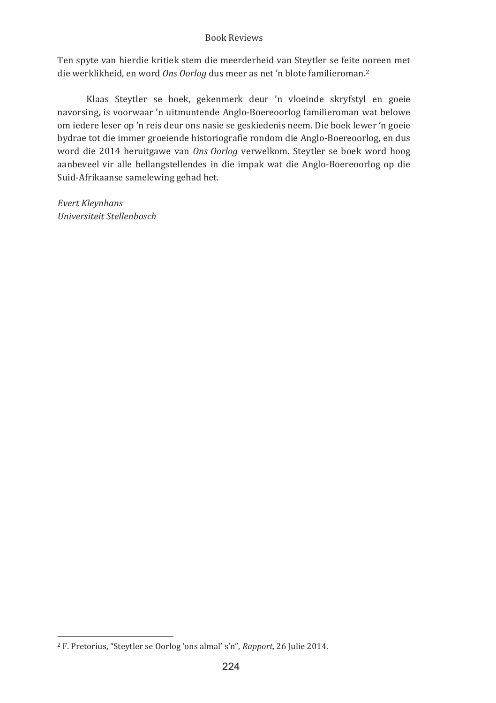Ten spyte van hierdie kritiek stem die meerderheid van Steytler se feite ooreen met die werklikheid, en word *Ons Oorlog* dus meer as net 'n blote familieroman.<sup>2</sup>

Klaas Steytler se boek, gekenmerk deur 'n vloeinde skryfstyl en goeie navorsing, is voorwaar 'n uitmuntende Anglo-Boereoorlog familieroman wat belowe om iedere leser op 'n reis deur ons nasie se geskiedenis neem. Die boek lewer 'n goeie bydrae tot die immer groeiende historiografie rondom die Anglo-Boereoorlog, en dus word die 2014 heruitgawe van Ons Oorlog verwelkom. Steytler se boek word hoog aanbeveel vir alle bellangstellendes in die impak wat die Anglo-Boereoorlog op die Suid-Afrikaanse samelewing gehad het.

*Evert�Kleynhans� Universiteit�Stellenbosch�*

<u> 1989 - Johann Barnett, fransk politiker (</u>

<sup>&</sup>lt;sup>2</sup> F. Pretorius, "Steytler se Oorlog 'ons almal' s'n", Rapport, 26 Julie 2014.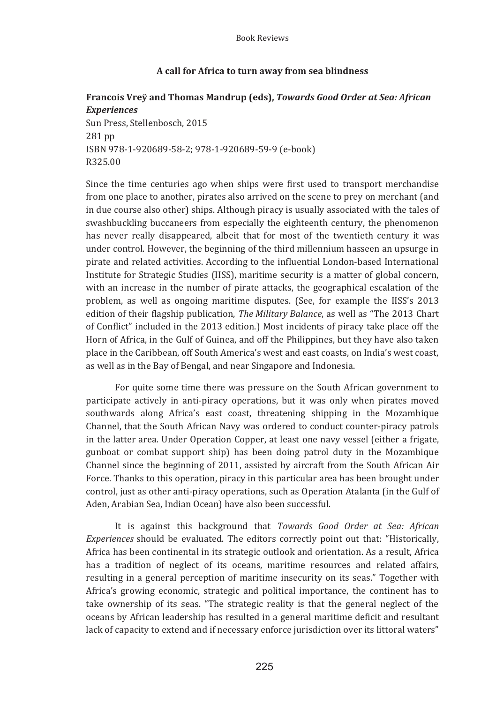# A call for Africa to turn away from sea blindness

# Francois Vrey and Thomas Mandrup (eds), Towards Good Order at Sea: African **Experiences**

Sun Press, Stellenbosch, 2015 281 pp ISBN 978-1-920689-58-2; 978-1-920689-59-9 (e-book) R325.00

Since the time centuries ago when ships were first used to transport merchandise from one place to another, pirates also arrived on the scene to prey on merchant (and in due course also other) ships. Although piracy is usually associated with the tales of swashbuckling buccaneers from especially the eighteenth century, the phenomenon has never really disappeared, albeit that for most of the twentieth century it was under control. However, the beginning of the third millennium hasseen an upsurge in pirate and related activities. According to the influential London-based International Institute for Strategic Studies (IISS), maritime security is a matter of global concern, with an increase in the number of pirate attacks, the geographical escalation of the problem, as well as ongoing maritime disputes. (See, for example the IISS's 2013 edition of their flagship publication, The Military Balance, as well as "The 2013 Chart of Conflict" included in the 2013 edition.) Most incidents of piracy take place off the Horn of Africa, in the Gulf of Guinea, and off the Philippines, but they have also taken place in the Caribbean, off South America's west and east coasts, on India's west coast. as well as in the Bay of Bengal, and near Singapore and Indonesia.

For quite some time there was pressure on the South African government to participate actively in anti-piracy operations, but it was only when pirates moved southwards along Africa's east coast, threatening shipping in the Mozambique Channel, that the South African Navy was ordered to conduct counter-piracy patrols in the latter area. Under Operation Copper, at least one navy vessel (either a frigate, gunboat or combat support ship) has been doing patrol duty in the Mozambique Channel since the beginning of 2011, assisted by aircraft from the South African Air Force. Thanks to this operation, piracy in this particular area has been brought under control, just as other anti-piracy operations, such as Operation Atalanta (in the Gulf of Aden, Arabian Sea, Indian Ocean) have also been successful.

It is against this background that Towards Good Order at Sea: African Experiences should be evaluated. The editors correctly point out that: "Historically, Africa has been continental in its strategic outlook and orientation. As a result, Africa has a tradition of neglect of its oceans, maritime resources and related affairs, resulting in a general perception of maritime insecurity on its seas." Together with Africa's growing economic, strategic and political importance, the continent has to take ownership of its seas. "The strategic reality is that the general neglect of the oceans by African leadership has resulted in a general maritime deficit and resultant lack of capacity to extend and if necessary enforce jurisdiction over its littoral waters"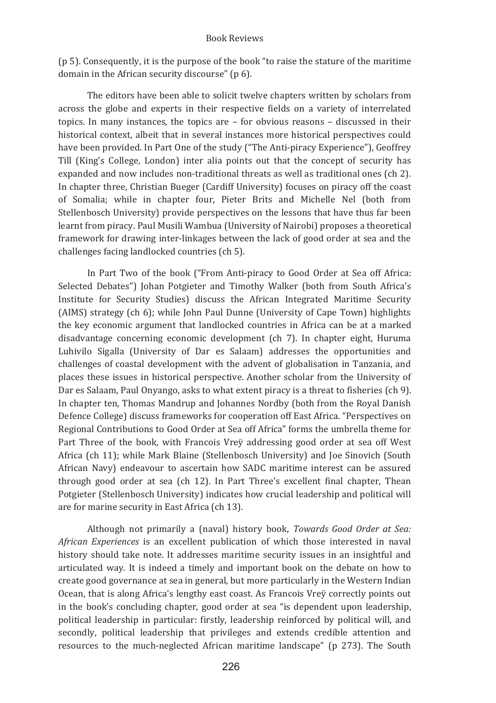(p 5). Consequently, it is the purpose of the book "to raise the stature of the maritime domain in the African security discourse" (p 6).

The editors have been able to solicit twelve chapters written by scholars from across the globe and experts in their respective fields on a variety of interrelated topics. In many instances, the topics are  $-$  for obvious reasons  $-$  discussed in their historical context, albeit that in several instances more historical perspectives could have been provided. In Part One of the study ("The Anti-piracy Experience"), Geoffrey Till (King's College, London) inter alia points out that the concept of security has expanded and now includes non-traditional threats as well as traditional ones (ch 2). In chapter three, Christian Bueger (Cardiff University) focuses on piracy off the coast of Somalia; while in chapter four, Pieter Brits and Michelle Nel (both from Stellenbosch University) provide perspectives on the lessons that have thus far been learnt from piracy. Paul Musili Wambua (University of Nairobi) proposes a theoretical framework for drawing inter-linkages between the lack of good order at sea and the challenges facing landlocked countries (ch 5).

In Part Two of the book ("From Anti-piracy to Good Order at Sea off Africa: Selected Debates") Johan Potgieter and Timothy Walker (both from South Africa's Institute for Security Studies) discuss the African Integrated Maritime Security (AIMS) strategy (ch 6); while John Paul Dunne (University of Cape Town) highlights the key economic argument that landlocked countries in Africa can be at a marked disadvantage concerning economic development (ch 7). In chapter eight, Huruma Luhivilo Sigalla (University of Dar es Salaam) addresses the opportunities and challenges of coastal development with the advent of globalisation in Tanzania, and places these issues in historical perspective. Another scholar from the University of Dar es Salaam, Paul Onvango, asks to what extent piracy is a threat to fisheries (ch 9). In chapter ten, Thomas Mandrup and Johannes Nordby (both from the Royal Danish Defence College) discuss frameworks for cooperation off East Africa. "Perspectives on Regional Contributions to Good Order at Sea off Africa" forms the umbrella theme for Part Three of the book, with Francois Vrey addressing good order at sea off West Africa (ch 11); while Mark Blaine (Stellenbosch University) and Joe Sinovich (South African Navy) endeavour to ascertain how SADC maritime interest can be assured through good order at sea (ch 12). In Part Three's excellent final chapter, Thean Potgieter (Stellenbosch University) indicates how crucial leadership and political will are for marine security in East Africa (ch 13).

Although not primarily a (naval) history book, Towards Good Order at Sea: African Experiences is an excellent publication of which those interested in naval history should take note. It addresses maritime security issues in an insightful and articulated way. It is indeed a timely and important book on the debate on how to create good governance at sea in general, but more particularly in the Western Indian Ocean, that is along Africa's lengthy east coast. As Francois Vrey correctly points out in the book's concluding chapter, good order at sea "is dependent upon leadership, political leadership in particular: firstly, leadership reinforced by political will, and secondly, political leadership that privileges and extends credible attention and resources to the much-neglected African maritime landscape" (p 273). The South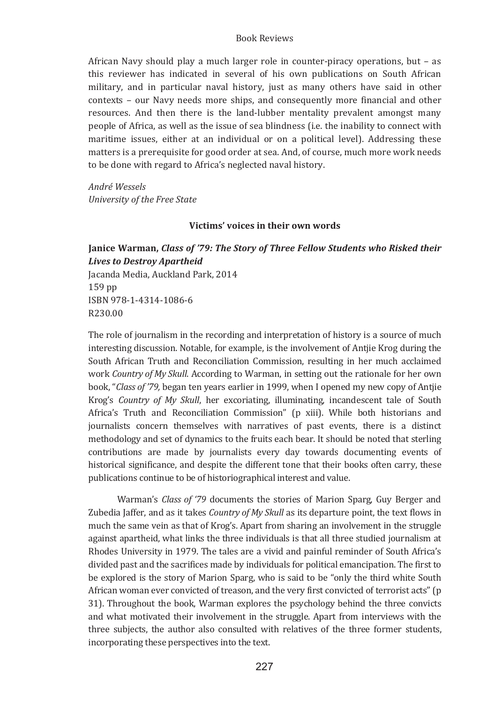African Navy should play a much larger role in counter-piracy operations, but - as this reviewer has indicated in several of his own publications on South African military, and in particular naval history, just as many others have said in other contexts - our Navy needs more ships, and consequently more financial and other resources. And then there is the land-lubber mentality prevalent amongst many people of Africa, as well as the issue of sea blindness (i.e. the inability to connect with maritime issues, either at an individual or on a political level). Addressing these matters is a prerequisite for good order at sea. And, of course, much more work needs to be done with regard to Africa's neglected naval history.

André Wessels University of the Free State

## Victims' voices in their own words

# Janice Warman, Class of '79: The Story of Three Fellow Students who Risked their **Lives to Destroy Apartheid**

Jacanda Media, Auckland Park, 2014 159 pp ISBN 978-1-4314-1086-6 **R230.00** 

The role of journalism in the recording and interpretation of history is a source of much interesting discussion. Notable, for example, is the involvement of Antije Krog during the South African Truth and Reconciliation Commission, resulting in her much acclaimed work Country of My Skull. According to Warman, in setting out the rationale for her own book, "Class of '79, began ten years earlier in 1999, when I opened my new copy of Antjie Krog's Country of My Skull, her excoriating, illuminating, incandescent tale of South Africa's Truth and Reconciliation Commission" (p xiii). While both historians and journalists concern themselves with narratives of past events, there is a distinct methodology and set of dynamics to the fruits each bear. It should be noted that sterling contributions are made by journalists every day towards documenting events of historical significance, and despite the different tone that their books often carry, these publications continue to be of historiographical interest and value.

Warman's Class of '79 documents the stories of Marion Sparg, Guy Berger and Zubedia Jaffer, and as it takes *Country of My Skull* as its departure point, the text flows in much the same vein as that of Krog's. Apart from sharing an involvement in the struggle against apartheid, what links the three individuals is that all three studied journalism at Rhodes University in 1979. The tales are a vivid and painful reminder of South Africa's divided past and the sacrifices made by individuals for political emancipation. The first to be explored is the story of Marion Sparg, who is said to be "only the third white South" African woman ever convicted of treason, and the very first convicted of terrorist acts" (p 31). Throughout the book, Warman explores the psychology behind the three convicts and what motivated their involvement in the struggle. Apart from interviews with the three subjects, the author also consulted with relatives of the three former students. incorporating these perspectives into the text.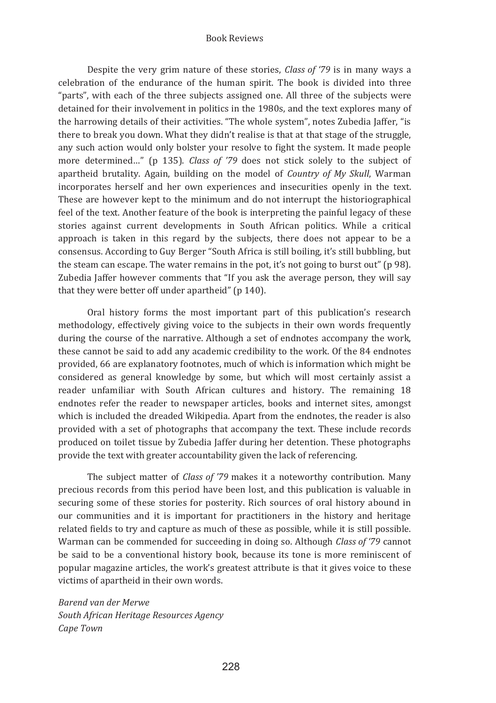Despite the very grim nature of these stories, *Class of '79* is in many ways a celebration of the endurance of the human spirit. The book is divided into three "parts", with each of the three subjects assigned one. All three of the subjects were detained for their involvement in politics in the 1980s, and the text explores many of the harrowing details of their activities. "The whole system", notes Zubedia Jaffer, "is there to break you down. What they didn't realise is that at that stage of the struggle, any such action would only bolster your resolve to fight the system. It made people more determined..." (p 135). Class of '79 does not stick solely to the subject of apartheid brutality. Again, building on the model of Country of My Skull, Warman incorporates herself and her own experiences and insecurities openly in the text. These are however kept to the minimum and do not interrupt the historiographical feel of the text. Another feature of the book is interpreting the painful legacy of these stories against current developments in South African politics. While a critical approach is taken in this regard by the subjects, there does not appear to be a consensus. According to Guy Berger "South Africa is still boiling, it's still bubbling, but the steam can escape. The water remains in the pot, it's not going to burst out" (p 98). Zubedia Jaffer however comments that "If you ask the average person, they will say that they were better off under apartheid" (p 140).

Oral history forms the most important part of this publication's research methodology, effectively giving voice to the subjects in their own words frequently during the course of the narrative. Although a set of endnotes accompany the work, these cannot be said to add any academic credibility to the work. Of the 84 endnotes provided, 66 are explanatory footnotes, much of which is information which might be considered as general knowledge by some, but which will most certainly assist a reader unfamiliar with South African cultures and history. The remaining 18 endnotes refer the reader to newspaper articles, books and internet sites, amongst which is included the dreaded Wikipedia. Apart from the endnotes, the reader is also provided with a set of photographs that accompany the text. These include records produced on toilet tissue by Zubedia Jaffer during her detention. These photographs provide the text with greater accountability given the lack of referencing.

The subject matter of *Class of '79* makes it a noteworthy contribution. Many precious records from this period have been lost, and this publication is valuable in securing some of these stories for posterity. Rich sources of oral history abound in our communities and it is important for practitioners in the history and heritage related fields to try and capture as much of these as possible, while it is still possible. Warman can be commended for succeeding in doing so. Although Class of '79 cannot be said to be a conventional history book, because its tone is more reminiscent of popular magazine articles, the work's greatest attribute is that it gives voice to these victims of apartheid in their own words.

Barend van der Merwe South African Heritage Resources Agency Cane Town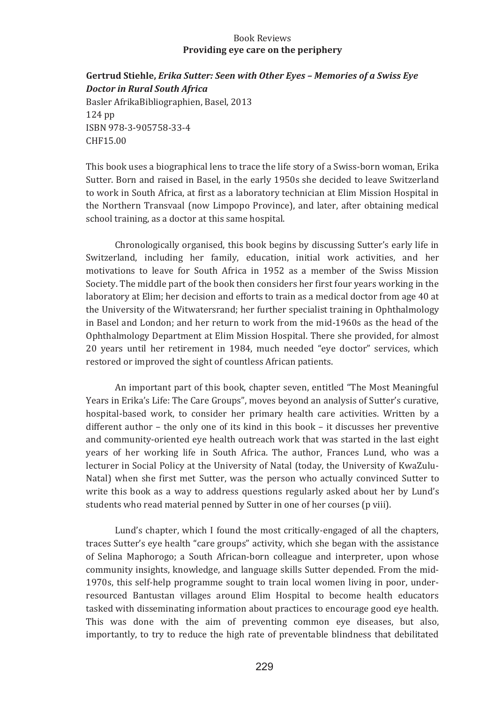## **Book Reviews** Providing eve care on the periphery

# Gertrud Stiehle, Erika Sutter: Seen with Other Eyes - Memories of a Swiss Eye **Doctor in Rural South Africa** Basler AfrikaBibliographien, Basel, 2013 124 pp

ISBN 978-3-905758-33-4 CHF15.00

This book uses a biographical lens to trace the life story of a Swiss-born woman, Erika Sutter, Born and raised in Basel, in the early 1950s she decided to leave Switzerland to work in South Africa, at first as a laboratory technician at Elim Mission Hospital in the Northern Transvaal (now Limpopo Province), and later, after obtaining medical school training, as a doctor at this same hospital.

Chronologically organised, this book begins by discussing Sutter's early life in Switzerland, including her family, education, initial work activities, and her motivations to leave for South Africa in 1952 as a member of the Swiss Mission Society. The middle part of the book then considers her first four years working in the laboratory at Elim; her decision and efforts to train as a medical doctor from age 40 at the University of the Witwatersrand: her further specialist training in Ophthalmology in Basel and London; and her return to work from the mid-1960s as the head of the Ophthalmology Department at Elim Mission Hospital. There she provided, for almost 20 years until her retirement in 1984, much needed "eve doctor" services, which restored or improved the sight of countless African patients.

An important part of this book, chapter seven, entitled "The Most Meaningful Years in Erika's Life: The Care Groups", moves beyond an analysis of Sutter's curative, hospital-based work, to consider her primary health care activities. Written by a different author  $-$  the only one of its kind in this book  $-$  it discusses her preventive and community-oriented eye health outreach work that was started in the last eight years of her working life in South Africa. The author, Frances Lund, who was a lecturer in Social Policy at the University of Natal (today, the University of KwaZulu-Natal) when she first met Sutter, was the person who actually convinced Sutter to write this book as a way to address questions regularly asked about her by Lund's students who read material penned by Sutter in one of her courses (p viii).

Lund's chapter, which I found the most critically-engaged of all the chapters, traces Sutter's eye health "care groups" activity, which she began with the assistance of Selina Maphorogo; a South African-born colleague and interpreter, upon whose community insights, knowledge, and language skills Sutter depended. From the mid-1970s, this self-help programme sought to train local women living in poor, underresourced Bantustan villages around Elim Hospital to become health educators tasked with disseminating information about practices to encourage good eye health. This was done with the aim of preventing common eye diseases, but also, importantly, to try to reduce the high rate of preventable blindness that debilitated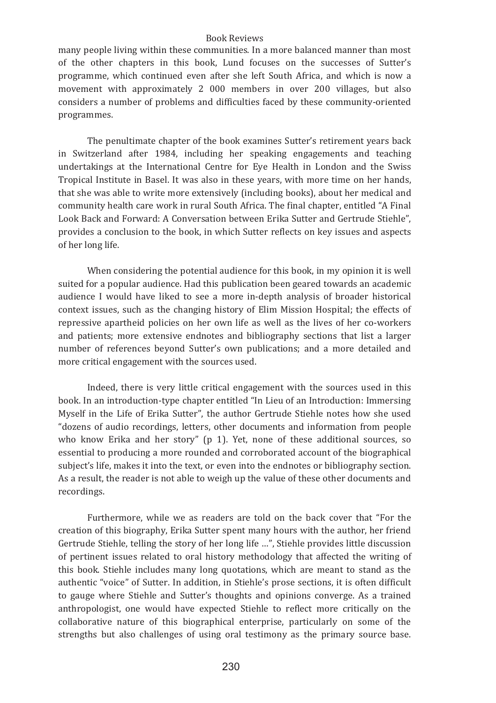many people living within these communities. In a more balanced manner than most of the other chapters in this book, Lund focuses on the successes of Sutter's programme, which continued even after she left South Africa, and which is now a movement with approximately 2 000 members in over 200 villages, but also considers a number of problems and difficulties faced by these community-oriented programmes.

The penultimate chapter of the book examines Sutter's retirement years back in Switzerland after 1984, including her speaking engagements and teaching undertakings at the International Centre for Eye Health in London and the Swiss Tropical Institute in Basel. It was also in these years, with more time on her hands. that she was able to write more extensively (including books), about her medical and community health care work in rural South Africa. The final chapter, entitled "A Final Look Back and Forward: A Conversation between Erika Sutter and Gertrude Stiehle", provides a conclusion to the book, in which Sutter reflects on key issues and aspects of her long life.

When considering the potential audience for this book, in my opinion it is well suited for a popular audience. Had this publication been geared towards an academic audience I would have liked to see a more in-depth analysis of broader historical context issues, such as the changing history of Elim Mission Hospital; the effects of repressive apartheid policies on her own life as well as the lives of her co-workers and patients; more extensive endnotes and bibliography sections that list a larger number of references beyond Sutter's own publications: and a more detailed and more critical engagement with the sources used.

Indeed, there is very little critical engagement with the sources used in this book. In an introduction-type chapter entitled "In Lieu of an Introduction: Immersing Myself in the Life of Erika Sutter", the author Gertrude Stiehle notes how she used "dozens of audio recordings, letters, other documents and information from people who know Erika and her story" (p 1). Yet, none of these additional sources, so essential to producing a more rounded and corroborated account of the biographical subject's life, makes it into the text, or even into the endnotes or bibliography section. As a result, the reader is not able to weigh up the value of these other documents and recordings.

Furthermore, while we as readers are told on the back cover that "For the creation of this biography, Erika Sutter spent many hours with the author, her friend Gertrude Stiehle, telling the story of her long life ...", Stiehle provides little discussion of pertinent issues related to oral history methodology that affected the writing of this book. Stiehle includes many long quotations, which are meant to stand as the authentic "voice" of Sutter. In addition, in Stiehle's prose sections, it is often difficult to gauge where Stiehle and Sutter's thoughts and opinions converge. As a trained anthropologist, one would have expected Stiehle to reflect more critically on the collaborative nature of this biographical enterprise, particularly on some of the strengths but also challenges of using oral testimony as the primary source base.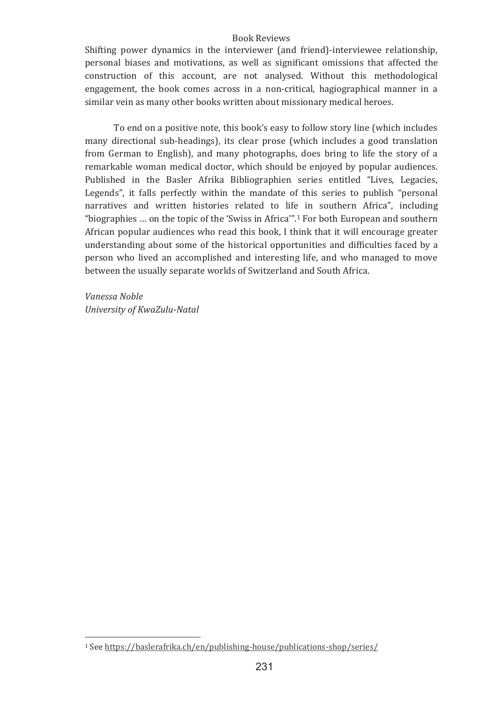Shifting power dynamics in the interviewer (and friend)-interviewee relationship. personal biases and motivations, as well as significant omissions that affected the construction of this account, are not analysed. Without this methodological engagement, the book comes across in a non-critical, hagiographical manner in a similar vein as many other books written about missionary medical heroes.

To end on a positive note, this book's easy to follow story line (which includes many directional sub-headings), its clear prose (which includes a good translation from German to English), and many photographs, does bring to life the story of a remarkable woman medical doctor, which should be enjoyed by popular audiences. Published in the Basler Afrika Bibliographien series entitled "Lives, Legacies, Legends", it falls perfectly within the mandate of this series to publish "personal narratives and written histories related to life in southern Africa", including "biographies ... on the topic of the 'Swiss in Africa'".<sup>1</sup> For both European and southern African popular audiences who read this book. I think that it will encourage greater understanding about some of the historical opportunities and difficulties faced by a person who lived an accomplished and interesting life, and who managed to move between the usually separate worlds of Switzerland and South Africa.

Vanessa Noble University of KwaZulu-Natal

<sup>&</sup>lt;sup>1</sup> See https://baslerafrika.ch/en/publishing-house/publications-shop/series/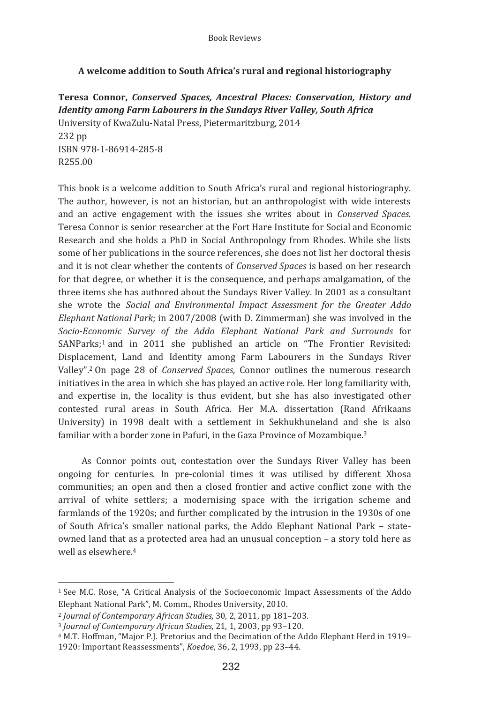# A welcome addition to South Africa's rural and regional historiography

Teresa Connor, Conserved Spaces, Ancestral Places: Conservation, History and **Identity among Farm Labourers in the Sundays River Valley, South Africa** University of KwaZulu-Natal Press, Pietermaritzburg, 2014 232 pp ISBN 978-1-86914-285-8 R25500

This book is a welcome addition to South Africa's rural and regional historiography. The author, however, is not an historian, but an anthropologist with wide interests and an active engagement with the issues she writes about in *Conserved Spaces*. Teresa Connor is senior researcher at the Fort Hare Institute for Social and Economic Research and she holds a PhD in Social Anthropology from Rhodes. While she lists some of her publications in the source references, she does not list her doctoral thesis and it is not clear whether the contents of Conserved Spaces is based on her research for that degree, or whether it is the consequence, and perhaps amalgamation, of the three items she has authored about the Sundays River Valley. In 2001 as a consultant she wrote the Social and Environmental Impact Assessment for the Greater Addo Elephant National Park; in 2007/2008 (with D. Zimmerman) she was involved in the Socio-Economic Survey of the Addo Elephant National Park and Surrounds for SANParks;<sup>1</sup> and in 2011 she published an article on "The Frontier Revisited: Displacement, Land and Identity among Farm Labourers in the Sundays River Valley".<sup>2</sup> On page 28 of *Conserved Spaces*. Connor outlines the numerous research initiatives in the area in which she has played an active role. Her long familiarity with, and expertise in, the locality is thus evident, but she has also investigated other contested rural areas in South Africa. Her M.A. dissertation (Rand Afrikaans University) in 1998 dealt with a settlement in Sekhukhuneland and she is also familiar with a border zone in Pafuri, in the Gaza Province of Mozambique.<sup>3</sup>

As Connor points out, contestation over the Sundays River Valley has been ongoing for centuries. In pre-colonial times it was utilised by different Xhosa communities; an open and then a closed frontier and active conflict zone with the arrival of white settlers; a modernising space with the irrigation scheme and farmlands of the 1920s; and further complicated by the intrusion in the 1930s of one of South Africa's smaller national parks, the Addo Elephant National Park - stateowned land that as a protected area had an unusual conception - a story told here as well as elsewhere.<sup>4</sup>

<sup>&</sup>lt;sup>1</sup> See M.C. Rose, "A Critical Analysis of the Socioeconomic Impact Assessments of the Addo Elephant National Park", M. Comm., Rhodes University, 2010.

<sup>&</sup>lt;sup>2</sup> Journal of Contemporary African Studies, 30, 2, 2011, pp 181-203.

<sup>&</sup>lt;sup>3</sup> Journal of Contemporary African Studies, 21, 1, 2003, pp 93-120.

<sup>&</sup>lt;sup>4</sup> M.T. Hoffman, "Maior P.J. Pretorius and the Decimation of the Addo Elephant Herd in 1919– 1920: Important Reassessments", Koedoe, 36, 2, 1993, pp 23-44.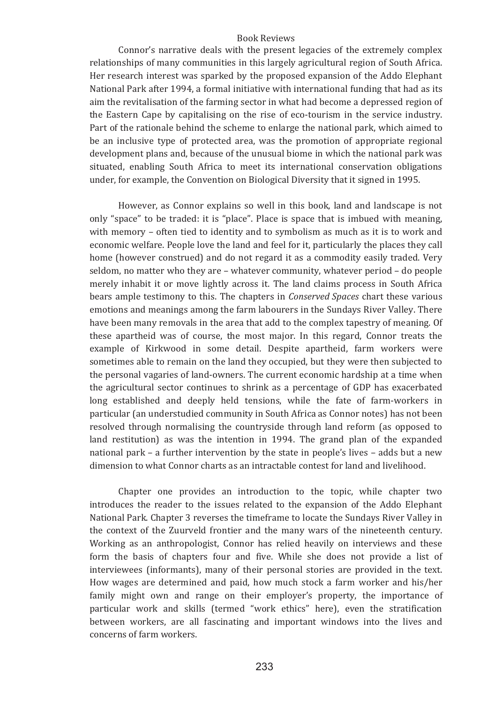Connor's narrative deals with the present legacies of the extremely complex relationships of many communities in this largely agricultural region of South Africa. Her research interest was sparked by the proposed expansion of the Addo Elephant National Park after 1994, a formal initiative with international funding that had as its aim the revitalisation of the farming sector in what had become a depressed region of the Eastern Cape by capitalising on the rise of eco-tourism in the service industry. Part of the rationale behind the scheme to enlarge the national park, which aimed to be an inclusive type of protected area, was the promotion of appropriate regional development plans and, because of the unusual biome in which the national park was situated, enabling South Africa to meet its international conservation obligations under, for example, the Convention on Biological Diversity that it signed in 1995.

However, as Connor explains so well in this book, land and landscape is not only "space" to be traded: it is "place". Place is space that is imbued with meaning, with memory – often tied to identity and to symbolism as much as it is to work and economic welfare. People love the land and feel for it, particularly the places they call home (however construed) and do not regard it as a commodity easily traded. Very seldom, no matter who they are – whatever community, whatever period – do people merely inhabit it or move lightly across it. The land claims process in South Africa bears ample testimony to this. The chapters in *Conserved Spaces* chart these various emotions and meanings among the farm labourers in the Sundays River Valley. There have been many removals in the area that add to the complex tapestry of meaning. Of these apartheid was of course, the most major. In this regard, Connor treats the example of Kirkwood in some detail. Despite apartheid, farm workers were sometimes able to remain on the land they occupied, but they were then subjected to the personal vagaries of land-owners. The current economic hardship at a time when the agricultural sector continues to shrink as a percentage of GDP has exacerbated long established and deeply held tensions, while the fate of farm-workers in particular (an understudied community in South Africa as Connor notes) has not been resolved through normalising the countryside through land reform (as opposed to land restitution) as was the intention in 1994. The grand plan of the expanded national park - a further intervention by the state in people's lives - adds but a new dimension to what Connor charts as an intractable contest for land and livelihood.

Chapter one provides an introduction to the topic, while chapter two introduces the reader to the issues related to the expansion of the Addo Elephant National Park. Chapter 3 reverses the timeframe to locate the Sundays River Valley in the context of the Zuurveld frontier and the many wars of the nineteenth century. Working as an anthropologist, Connor has relied heavily on interviews and these form the basis of chapters four and five. While she does not provide a list of interviewees (informants), many of their personal stories are provided in the text. How wages are determined and paid, how much stock a farm worker and his/her family might own and range on their employer's property, the importance of particular work and skills (termed "work ethics" here), even the stratification between workers, are all fascinating and important windows into the lives and concerns of farm workers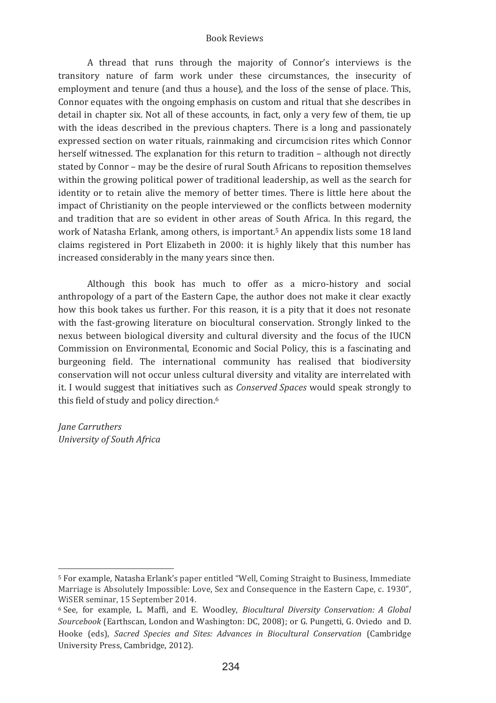A thread that runs through the majority of Connor's interviews is the transitory nature of farm work under these circumstances, the insecurity of employment and tenure (and thus a house), and the loss of the sense of place. This, Connor equates with the ongoing emphasis on custom and ritual that she describes in detail in chapter six. Not all of these accounts, in fact, only a very few of them, tie up with the ideas described in the previous chapters. There is a long and passionately expressed section on water rituals, rainmaking and circumcision rites which Connor herself witnessed. The explanation for this return to tradition - although not directly stated by Connor - may be the desire of rural South Africans to reposition themselves within the growing political power of traditional leadership, as well as the search for identity or to retain alive the memory of better times. There is little here about the impact of Christianity on the people interviewed or the conflicts between modernity and tradition that are so evident in other areas of South Africa. In this regard, the work of Natasha Erlank, among others, is important.<sup>5</sup> An appendix lists some 18 land claims registered in Port Elizabeth in 2000: it is highly likely that this number has increased considerably in the many years since then.

Although this book has much to offer as a micro-history and social anthropology of a part of the Eastern Cape, the author does not make it clear exactly how this book takes us further. For this reason, it is a pity that it does not resonate with the fast-growing literature on biocultural conservation. Strongly linked to the nexus between biological diversity and cultural diversity and the focus of the IUCN Commission on Environmental, Economic and Social Policy, this is a fascinating and burgeoning field. The international community has realised that biodiversity conservation will not occur unless cultural diversity and vitality are interrelated with it. I would suggest that initiatives such as *Conserved Spaces* would speak strongly to this field of study and policy direction.<sup>6</sup>

*Jane Carruthers University�of�South�Africa�*

<u> 1989 - Johann Barnett, fransk politiker (</u>

<sup>&</sup>lt;sup>5</sup> For example. Natasha Erlank's paper entitled "Well. Coming Straight to Business. Immediate Marriage is Absolutely Impossible: Love, Sex and Consequence in the Eastern Cape, c. 1930". WiSER seminar, 15 September 2014.

<sup>&</sup>lt;sup>6</sup> See, for example, L. Maffi, and E. Woodley, Biocultural Diversity Conservation: A Global Sourcebook (Earthscan, London and Washington: DC, 2008); or G. Pungetti, G. Oviedo and D. Hooke (eds), Sacred Species and Sites: Advances in Biocultural Conservation (Cambridge University Press, Cambridge, 2012).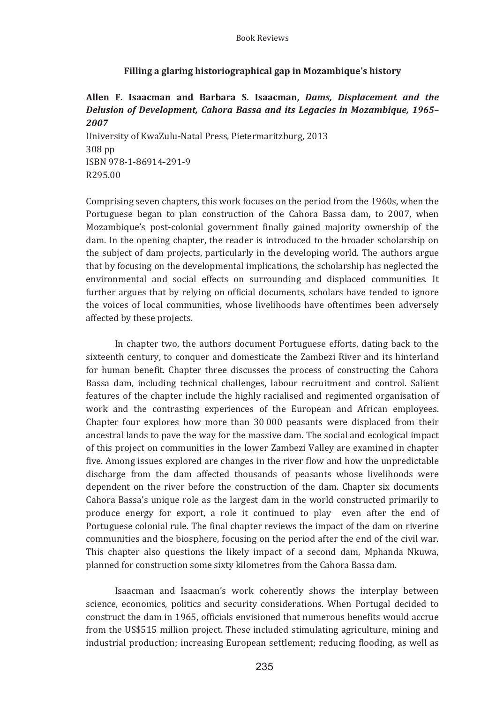# Filling a glaring historiographical gap in Mozambique's history

# Allen F. Isaacman and Barbara S. Isaacman, Dams. Displacement and the Delusion of Development, Cahora Bassa and its Legacies in Mozambique, 1965-2007

University of KwaZulu-Natal Press, Pietermaritzburg, 2013 308 pp ISBN 978-1-86914-291-9 R295.00

Comprising seven chapters, this work focuses on the period from the 1960s, when the Portuguese began to plan construction of the Cahora Bassa dam, to 2007, when Mozambique's post-colonial government finally gained majority ownership of the dam. In the opening chapter, the reader is introduced to the broader scholarship on the subject of dam projects, particularly in the developing world. The authors argue that by focusing on the developmental implications, the scholarship has neglected the environmental and social effects on surrounding and displaced communities. It further argues that by relying on official documents, scholars have tended to ignore the voices of local communities, whose livelihoods have oftentimes been adversely affected by these projects.

In chapter two, the authors document Portuguese efforts, dating back to the sixteenth century, to conquer and domesticate the Zambezi River and its hinterland for human benefit. Chapter three discusses the process of constructing the Cahora Bassa dam, including technical challenges, labour recruitment and control. Salient features of the chapter include the highly racialised and regimented organisation of work and the contrasting experiences of the European and African employees. Chapter four explores how more than 30 000 peasants were displaced from their ancestral lands to pave the way for the massive dam. The social and ecological impact of this project on communities in the lower Zambezi Valley are examined in chapter five. Among issues explored are changes in the river flow and how the unpredictable discharge from the dam affected thousands of peasants whose livelihoods were dependent on the river before the construction of the dam. Chapter six documents Cahora Bassa's unique role as the largest dam in the world constructed primarily to produce energy for export, a role it continued to play even after the end of Portuguese colonial rule. The final chapter reviews the impact of the dam on riverine communities and the biosphere, focusing on the period after the end of the civil war. This chapter also questions the likely impact of a second dam, Mphanda Nkuwa, planned for construction some sixty kilometres from the Cahora Bassa dam.

Isaacman and Isaacman's work coherently shows the interplay between science, economics, politics and security considerations. When Portugal decided to construct the dam in 1965, officials envisioned that numerous benefits would accrue from the US\$515 million project. These included stimulating agriculture, mining and industrial production; increasing European settlement; reducing flooding, as well as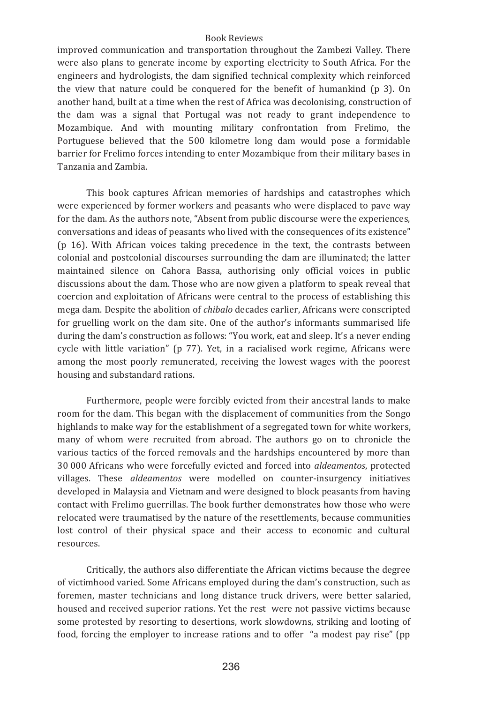improved communication and transportation throughout the Zambezi Valley. There were also plans to generate income by exporting electricity to South Africa. For the engineers and hydrologists, the dam signified technical complexity which reinforced the view that nature could be conquered for the benefit of humankind (p 3). On another hand, built at a time when the rest of Africa was decolonising, construction of the dam was a signal that Portugal was not ready to grant independence to Mozambique. And with mounting military confrontation from Frelimo, the Portuguese believed that the 500 kilometre long dam would pose a formidable barrier for Frelimo forces intending to enter Mozambique from their military bases in Tanzania and Zambia

This book captures African memories of hardships and catastrophes which were experienced by former workers and peasants who were displaced to pave way for the dam. As the authors note, "Absent from public discourse were the experiences, conversations and ideas of peasants who lived with the consequences of its existence" (p 16). With African voices taking precedence in the text, the contrasts between colonial and postcolonial discourses surrounding the dam are illuminated; the latter maintained silence on Cahora Bassa, authorising only official voices in public discussions about the dam. Those who are now given a platform to speak reveal that coercion and exploitation of Africans were central to the process of establishing this mega dam. Despite the abolition of *chibalo* decades earlier, Africans were conscripted for gruelling work on the dam site. One of the author's informants summarised life during the dam's construction as follows: "You work, eat and sleep. It's a never ending cycle with little variation" (p 77). Yet, in a racialised work regime. Africans were among the most poorly remunerated, receiving the lowest wages with the poorest housing and substandard rations.

Furthermore, people were forcibly evicted from their ancestral lands to make room for the dam. This began with the displacement of communities from the Songo highlands to make way for the establishment of a segregated town for white workers. many of whom were recruited from abroad. The authors go on to chronicle the various tactics of the forced removals and the hardships encountered by more than 30 000 Africans who were forcefully evicted and forced into aldeamentos, protected villages. These aldeamentos were modelled on counter-insurgency initiatives developed in Malaysia and Vietnam and were designed to block peasants from having contact with Frelimo guerrillas. The book further demonstrates how those who were relocated were traumatised by the nature of the resettlements, because communities lost control of their physical space and their access to economic and cultural resources.

Critically, the authors also differentiate the African victims because the degree of victimhood varied. Some Africans employed during the dam's construction, such as foremen, master technicians and long distance truck drivers, were better salaried, housed and received superior rations. Yet the rest were not passive victims because some protested by resorting to desertions, work slowdowns, striking and looting of food, forcing the employer to increase rations and to offer "a modest pay rise" (pp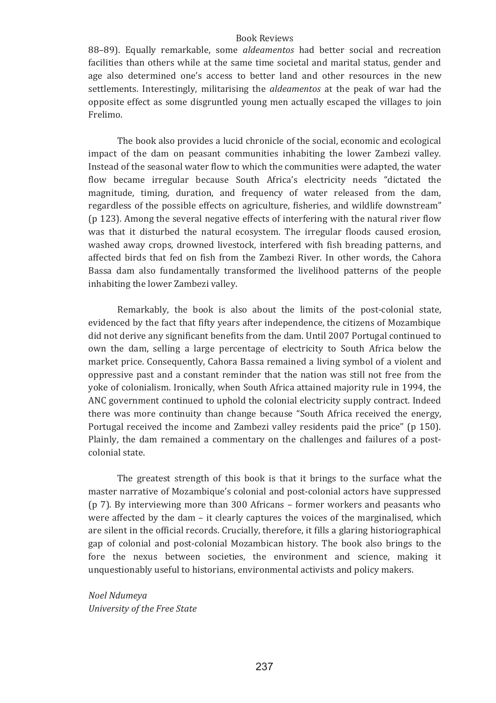88-89). Equally remarkable, some aldeamentos had better social and recreation facilities than others while at the same time societal and marital status, gender and age also determined one's access to better land and other resources in the new settlements. Interestingly, militarising the *aldeamentos* at the peak of war had the opposite effect as some disgruntled young men actually escaped the villages to join Frelimo

The book also provides a lucid chronicle of the social, economic and ecological impact of the dam on peasant communities inhabiting the lower Zambezi valley. Instead of the seasonal water flow to which the communities were adapted, the water flow became irregular because South Africa's electricity needs "dictated the magnitude, timing, duration, and frequency of water released from the dam. regardless of the possible effects on agriculture, fisheries, and wildlife downstream" (p 123). Among the several negative effects of interfering with the natural river flow was that it disturbed the natural ecosystem. The irregular floods caused erosion. washed away crops, drowned livestock, interfered with fish breading patterns, and affected birds that fed on fish from the Zambezi River. In other words, the Cahora Bassa dam also fundamentally transformed the livelihood patterns of the people inhabiting the lower Zambezi valley.

Remarkably, the book is also about the limits of the post-colonial state, evidenced by the fact that fifty years after independence, the citizens of Mozambique did not derive any significant benefits from the dam. Until 2007 Portugal continued to own the dam, selling a large percentage of electricity to South Africa below the market price. Consequently, Cahora Bassa remained a living symbol of a violent and oppressive past and a constant reminder that the nation was still not free from the yoke of colonialism. Ironically, when South Africa attained majority rule in 1994, the ANC government continued to uphold the colonial electricity supply contract. Indeed there was more continuity than change because "South Africa received the energy, Portugal received the income and Zambezi valley residents paid the price" (p 150). Plainly, the dam remained a commentary on the challenges and failures of a postcolonial state.

The greatest strength of this book is that it brings to the surface what the master narrative of Mozambique's colonial and post-colonial actors have suppressed ( $p$  7). By interviewing more than 300 Africans – former workers and peasants who were affected by the dam - it clearly captures the voices of the marginalised, which are silent in the official records. Crucially, therefore, it fills a glaring historiographical gap of colonial and post-colonial Mozambican history. The book also brings to the fore the nexus between societies, the environment and science, making it unquestionably useful to historians, environmental activists and policy makers.

Noel Ndumeya University of the Free State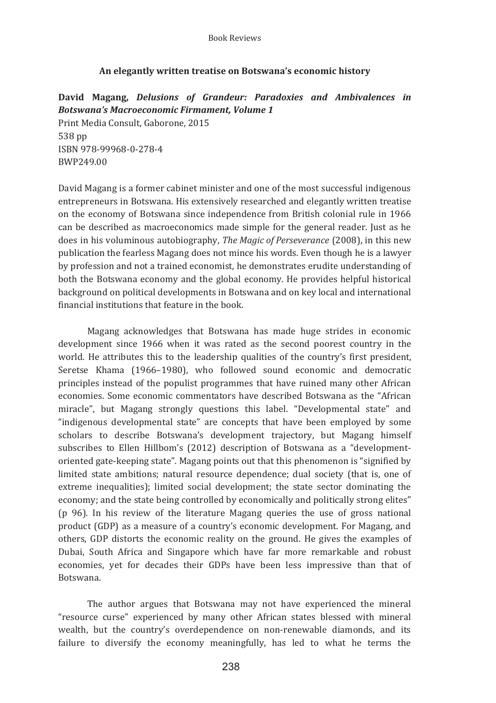# An elegantly written treatise on Botswana's economic history

David Magang, Delusions of Grandeur: Paradoxies and Ambivalences in **Botswana's Macroeconomic Firmament, Volume 1** Print Media Consult, Gaborone, 2015 538 pp ISBN 978-99968-0-278-4 **RWP24900** 

David Magang is a former cabinet minister and one of the most successful indigenous entrepreneurs in Botswana. His extensively researched and elegantly written treatise on the economy of Botswana since independence from British colonial rule in 1966 can be described as macroeconomics made simple for the general reader. Just as he does in his voluminous autobiography, The Magic of Perseverance (2008), in this new publication the fearless Magang does not mince his words. Even though he is a lawyer by profession and not a trained economist, he demonstrates erudite understanding of both the Botswana economy and the global economy. He provides helpful historical background on political developments in Botswana and on key local and international financial institutions that feature in the book.

Magang acknowledges that Botswana has made huge strides in economic development since 1966 when it was rated as the second poorest country in the world. He attributes this to the leadership qualities of the country's first president, Seretse Khama (1966-1980), who followed sound economic and democratic principles instead of the populist programmes that have ruined many other African economies. Some economic commentators have described Botswana as the "African miracle", but Magang strongly questions this label. "Developmental state" and "indigenous developmental state" are concepts that have been employed by some scholars to describe Botswana's development trajectory, but Magang himself subscribes to Ellen Hillbom's (2012) description of Botswana as a "developmentoriented gate-keeping state". Magang points out that this phenomenon is "signified by limited state ambitions; natural resource dependence; dual society (that is, one of extreme inequalities); limited social development; the state sector dominating the economy; and the state being controlled by economically and politically strong elites" (p 96). In his review of the literature Magang queries the use of gross national product (GDP) as a measure of a country's economic development. For Magang, and others, GDP distorts the economic reality on the ground. He gives the examples of Dubai, South Africa and Singapore which have far more remarkable and robust economies, yet for decades their GDPs have been less impressive than that of **Rotswana** 

The author argues that Botswana may not have experienced the mineral "resource curse" experienced by many other African states blessed with mineral wealth, but the country's overdependence on non-renewable diamonds, and its failure to diversify the economy meaningfully, has led to what he terms the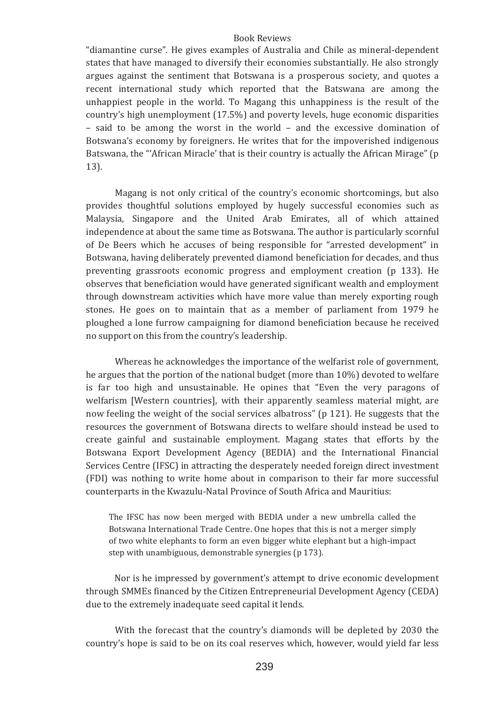"diamantine curse". He gives examples of Australia and Chile as mineral-dependent states that have managed to diversify their economies substantially. He also strongly argues against the sentiment that Botswana is a prosperous society, and quotes a recent international study which reported that the Batswana are among the unhappiest people in the world. To Magang this unhappiness is the result of the country's high unemployment (17.5%) and poverty levels, huge economic disparities - said to be among the worst in the world - and the excessive domination of Botswana's economy by foreigners. He writes that for the impoverished indigenous Batswana, the "'African Miracle' that is their country is actually the African Mirage" (p  $13$ ).

Magang is not only critical of the country's economic shortcomings, but also provides thoughtful solutions employed by hugely successful economies such as Malaysia, Singapore and the United Arab Emirates, all of which attained independence at about the same time as Botswana. The author is particularly scornful of De Beers which he accuses of being responsible for "arrested development" in Botswana, having deliberately prevented diamond beneficiation for decades, and thus preventing grassroots economic progress and employment creation (p 133). He observes that beneficiation would have generated significant wealth and employment through downstream activities which have more value than merely exporting rough stones. He goes on to maintain that as a member of parliament from 1979 he ploughed a lone furrow campaigning for diamond beneficiation because he received no support on this from the country's leadership.

Whereas he acknowledges the importance of the welfarist role of government, he argues that the portion of the national budget (more than 10%) devoted to welfare is far too high and unsustainable. He opines that "Even the very paragons of welfarism [Western countries], with their apparently seamless material might, are now feeling the weight of the social services albatross" (p 121). He suggests that the resources the government of Botswana directs to welfare should instead be used to create gainful and sustainable employment. Magang states that efforts by the Botswana Export Development Agency (BEDIA) and the International Financial Services Centre (IFSC) in attracting the desperately needed foreign direct investment (FDI) was nothing to write home about in comparison to their far more successful counterparts in the Kwazulu-Natal Province of South Africa and Mauritius:

The IFSC has now been merged with BEDIA under a new umbrella called the Botswana International Trade Centre. One hopes that this is not a merger simply of two white elephants to form an even bigger white elephant but a high-impact step with unambiguous, demonstrable synergies (p 173).

Nor is he impressed by government's attempt to drive economic development through SMMEs financed by the Citizen Entrepreneurial Development Agency (CEDA) due to the extremely inadequate seed capital it lends.

With the forecast that the country's diamonds will be depleted by 2030 the country's hope is said to be on its coal reserves which, however, would yield far less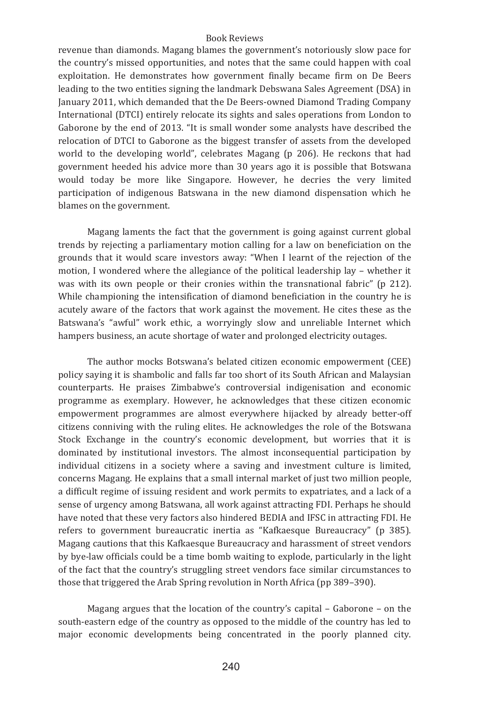revenue than diamonds. Magang blames the government's notoriously slow pace for the country's missed opportunities, and notes that the same could happen with coal exploitation. He demonstrates how government finally became firm on De Beers leading to the two entities signing the landmark Debswana Sales Agreement (DSA) in January 2011, which demanded that the De Beers-owned Diamond Trading Company International (DTCI) entirely relocate its sights and sales operations from London to Gaborone by the end of 2013. "It is small wonder some analysts have described the relocation of DTCI to Gaborone as the biggest transfer of assets from the developed world to the developing world", celebrates Magang (p 206). He reckons that had government heeded his advice more than 30 years ago it is possible that Botswana would today be more like Singapore. However, he decries the very limited participation of indigenous Batswana in the new diamond dispensation which he blames on the government.

Magang laments the fact that the government is going against current global trends by rejecting a parliamentary motion calling for a law on beneficiation on the grounds that it would scare investors away: "When I learnt of the rejection of the motion. I wondered where the allegiance of the political leadership lay – whether it was with its own people or their cronies within the transnational fabric" (p 212). While championing the intensification of diamond beneficiation in the country he is acutely aware of the factors that work against the movement. He cites these as the Batswana's "awful" work ethic, a worryingly slow and unreliable Internet which hampers business, an acute shortage of water and prolonged electricity outages.

The author mocks Botswana's belated citizen economic empowerment (CEE) policy saying it is shambolic and falls far too short of its South African and Malaysian counterparts. He praises Zimbabwe's controversial indigenisation and economic programme as exemplary. However, he acknowledges that these citizen economic empowerment programmes are almost everywhere hijacked by already better-off citizens conniving with the ruling elites. He acknowledges the role of the Botswana Stock Exchange in the country's economic development, but worries that it is dominated by institutional investors. The almost inconsequential participation by individual citizens in a society where a saving and investment culture is limited, concerns Magang. He explains that a small internal market of just two million people, a difficult regime of issuing resident and work permits to expatriates, and a lack of a sense of urgency among Batswana, all work against attracting FDI. Perhaps he should have noted that these very factors also hindered BEDIA and IFSC in attracting FDI. He refers to government bureaucratic inertia as "Kafkaesque Bureaucracy" (p 385). Magang cautions that this Kafkaesque Bureaucracy and harassment of street vendors by bye-law officials could be a time bomb waiting to explode, particularly in the light of the fact that the country's struggling street vendors face similar circumstances to those that triggered the Arab Spring revolution in North Africa (pp 389–390).

Magang argues that the location of the country's capital - Gaborone - on the south-eastern edge of the country as opposed to the middle of the country has led to major economic developments being concentrated in the poorly planned city.